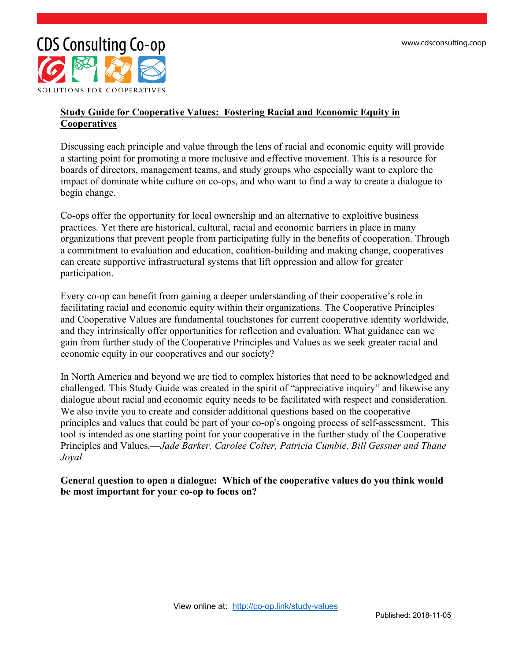

#### **Study Guide for Cooperative Values: Fostering Racial and Economic Equity in Cooperatives**

Discussing each principle and value through the lens of racial and economic equity will provide a starting point for promoting a more inclusive and effective movement. This is a resource for boards of directors, management teams, and study groups who especially want to explore the impact of dominate white culture on co-ops, and who want to find a way to create a dialogue to begin change.

Co-ops offer the opportunity for local ownership and an alternative to exploitive business practices. Yet there are historical, cultural, racial and economic barriers in place in many organizations that prevent people from participating fully in the benefits of cooperation. Through a commitment to evaluation and education, coalition-building and making change, cooperatives can create supportive infrastructural systems that lift oppression and allow for greater participation.

Every co-op can benefit from gaining a deeper understanding of their cooperative's role in facilitating racial and economic equity within their organizations. The Cooperative Principles and Cooperative Values are fundamental touchstones for current cooperative identity worldwide, and they intrinsically offer opportunities for reflection and evaluation. What guidance can we gain from further study of the Cooperative Principles and Values as we seek greater racial and economic equity in our cooperatives and our society?

In North America and beyond we are tied to complex histories that need to be acknowledged and challenged. This Study Guide was created in the spirit of "appreciative inquiry" and likewise any dialogue about racial and economic equity needs to be facilitated with respect and consideration. We also invite you to create and consider additional questions based on the cooperative principles and values that could be part of your co-op's ongoing process of self-assessment. This tool is intended as one starting point for your cooperative in the further study of the Cooperative Principles and Values.—*Jade Barker, Carolee Colter, Patricia Cumbie, Bill Gessner and Thane Joyal*

**General question to open a dialogue: Which of the cooperative values do you think would be most important for your co-op to focus on?**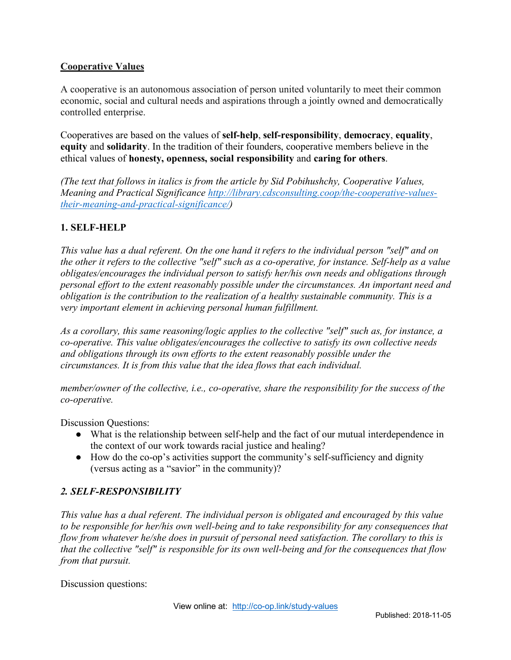## **Cooperative Values**

A cooperative is an autonomous association of person united voluntarily to meet their common economic, social and cultural needs and aspirations through a jointly owned and democratically controlled enterprise.

Cooperatives are based on the values of **self-help**, **self-responsibility**, **democracy**, **equality**, **equity** and **solidarity**. In the tradition of their founders, cooperative members believe in the ethical values of **honesty, openness, social responsibility** and **caring for others**.

*(The text that follows in italics is from the article by Sid Pobihushchy, Cooperative Values, Meaning and Practical Significance http://library.cdsconsulting.coop/the-cooperative-valuestheir-meaning-and-practical-significance/)*

# **1. SELF-HELP**

*This value has a dual referent. On the one hand it refers to the individual person "self" and on the other it refers to the collective "self" such as a co-operative, for instance. Self-help as a value obligates/encourages the individual person to satisfy her/his own needs and obligations through personal effort to the extent reasonably possible under the circumstances. An important need and obligation is the contribution to the realization of a healthy sustainable community. This is a very important element in achieving personal human fulfillment.*

*As a corollary, this same reasoning/logic applies to the collective "self" such as, for instance, a co-operative. This value obligates/encourages the collective to satisfy its own collective needs and obligations through its own efforts to the extent reasonably possible under the circumstances. It is from this value that the idea flows that each individual.*

*member/owner of the collective, i.e., co-operative, share the responsibility for the success of the co-operative.*

Discussion Questions:

- What is the relationship between self-help and the fact of our mutual interdependence in the context of our work towards racial justice and healing?
- How do the co-op's activities support the community's self-sufficiency and dignity (versus acting as a "savior" in the community)?

### *2. SELF-RESPONSIBILITY*

*This value has a dual referent. The individual person is obligated and encouraged by this value to be responsible for her/his own well-being and to take responsibility for any consequences that flow from whatever he/she does in pursuit of personal need satisfaction. The corollary to this is that the collective "self" is responsible for its own well-being and for the consequences that flow from that pursuit.*

Discussion questions: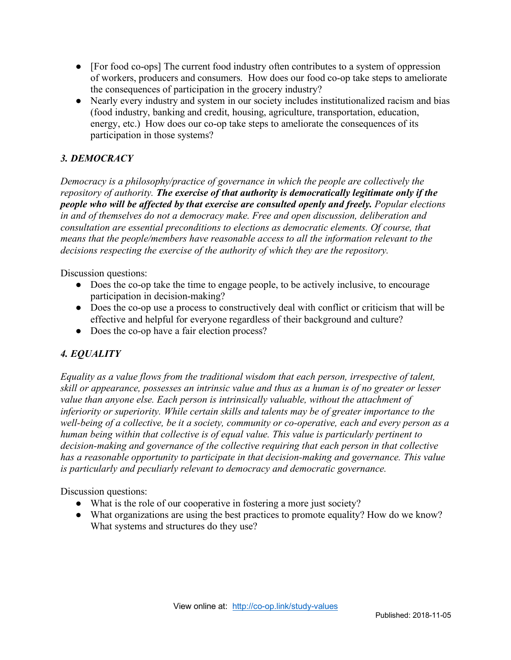- [For food co-ops] The current food industry often contributes to a system of oppression of workers, producers and consumers. How does our food co-op take steps to ameliorate the consequences of participation in the grocery industry?
- Nearly every industry and system in our society includes institutionalized racism and bias (food industry, banking and credit, housing, agriculture, transportation, education, energy, etc.) How does our co-op take steps to ameliorate the consequences of its participation in those systems?

# *3. DEMOCRACY*

*Democracy is a philosophy/practice of governance in which the people are collectively the repository of authority. The exercise of that authority is democratically legitimate only if the people who will be affected by that exercise are consulted openly and freely. Popular elections in and of themselves do not a democracy make. Free and open discussion, deliberation and consultation are essential preconditions to elections as democratic elements. Of course, that means that the people/members have reasonable access to all the information relevant to the decisions respecting the exercise of the authority of which they are the repository.*

Discussion questions:

- Does the co-op take the time to engage people, to be actively inclusive, to encourage participation in decision-making?
- Does the co-op use a process to constructively deal with conflict or criticism that will be effective and helpful for everyone regardless of their background and culture?
- Does the co-op have a fair election process?

# *4. EQUALITY*

*Equality as a value flows from the traditional wisdom that each person, irrespective of talent, skill or appearance, possesses an intrinsic value and thus as a human is of no greater or lesser value than anyone else. Each person is intrinsically valuable, without the attachment of inferiority or superiority. While certain skills and talents may be of greater importance to the well-being of a collective, be it a society, community or co-operative, each and every person as a human being within that collective is of equal value. This value is particularly pertinent to decision-making and governance of the collective requiring that each person in that collective has a reasonable opportunity to participate in that decision-making and governance. This value is particularly and peculiarly relevant to democracy and democratic governance.*

Discussion questions:

- What is the role of our cooperative in fostering a more just society?
- What organizations are using the best practices to promote equality? How do we know? What systems and structures do they use?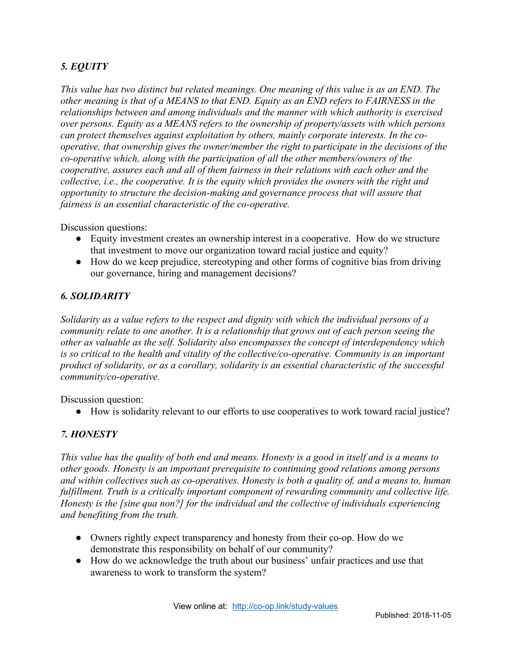# *5. EQUITY*

*This value has two distinct but related meanings. One meaning of this value is as an END. The other meaning is that of a MEANS to that END. Equity as an END refers to FAIRNESS in the relationships between and among individuals and the manner with which authority is exercised over persons. Equity as a MEANS refers to the ownership of property/assets with which persons can protect themselves against exploitation by others, mainly corporate interests. In the cooperative, that ownership gives the owner/member the right to participate in the decisions of the co-operative which, along with the participation of all the other members/owners of the cooperative, assures each and all of them fairness in their relations with each other and the collective, i.e., the cooperative. It is the equity which provides the owners with the right and opportunity to structure the decision-making and governance process that will assure that fairness is an essential characteristic of the co-operative.*

Discussion questions:

- Equity investment creates an ownership interest in a cooperative. How do we structure that investment to move our organization toward racial justice and equity?
- How do we keep prejudice, stereotyping and other forms of cognitive bias from driving our governance, hiring and management decisions?

#### *6. SOLIDARITY*

*Solidarity as a value refers to the respect and dignity with which the individual persons of a community relate to one another. It is a relationship that grows out of each person seeing the other as valuable as the self. Solidarity also encompasses the concept of interdependency which is so critical to the health and vitality of the collective/co-operative. Community is an important product of solidarity, or as a corollary, solidarity is an essential characteristic of the successful community/co-operative.*

Discussion question:

● How is solidarity relevant to our efforts to use cooperatives to work toward racial justice?

### *7. HONESTY*

*This value has the quality of both end and means. Honesty is a good in itself and is a means to other goods. Honesty is an important prerequisite to continuing good relations among persons and within collectives such as co-operatives. Honesty is both a quality of, and a means to, human fulfillment. Truth is a critically important component of rewarding community and collective life. Honesty is the [sine qua non?] for the individual and the collective of individuals experiencing and benefiting from the truth.*

- Owners rightly expect transparency and honesty from their co-op. How do we demonstrate this responsibility on behalf of our community?
- How do we acknowledge the truth about our business' unfair practices and use that awareness to work to transform the system?